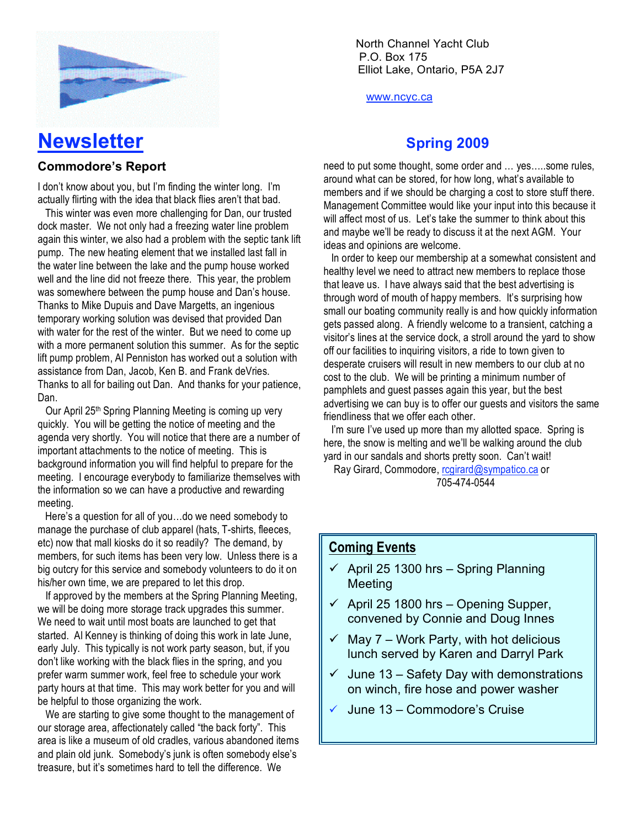

# **Newsletter Spring 2009**

### **Commodore's Report**

I don't know about you, but I'm finding the winter long. I'm actually flirting with the idea that black flies aren't that bad.

 This winter was even more challenging for Dan, our trusted dock master. We not only had a freezing water line problem again this winter, we also had a problem with the septic tank lift pump. The new heating element that we installed last fall in the water line between the lake and the pump house worked well and the line did not freeze there. This year, the problem was somewhere between the pump house and Dan's house. Thanks to Mike Dupuis and Dave Margetts, an ingenious temporary working solution was devised that provided Dan with water for the rest of the winter. But we need to come up with a more permanent solution this summer. As for the septic lift pump problem, Al Penniston has worked out a solution with assistance from Dan, Jacob, Ken B. and Frank deVries. Thanks to all for bailing out Dan. And thanks for your patience, Dan.

 Our April 25th Spring Planning Meeting is coming up very quickly. You will be getting the notice of meeting and the agenda very shortly. You will notice that there are a number of important attachments to the notice of meeting. This is background information you will find helpful to prepare for the meeting. I encourage everybody to familiarize themselves with the information so we can have a productive and rewarding meeting.

 Here's a question for all of you…do we need somebody to manage the purchase of club apparel (hats, T-shirts, fleeces, etc) now that mall kiosks do it so readily? The demand, by members, for such items has been very low. Unless there is a big outcry for this service and somebody volunteers to do it on his/her own time, we are prepared to let this drop.

 If approved by the members at the Spring Planning Meeting, we will be doing more storage track upgrades this summer. We need to wait until most boats are launched to get that started. Al Kenney is thinking of doing this work in late June, early July. This typically is not work party season, but, if you don't like working with the black flies in the spring, and you prefer warm summer work, feel free to schedule your work party hours at that time. This may work better for you and will be helpful to those organizing the work.

 We are starting to give some thought to the management of our storage area, affectionately called "the back forty". This area is like a museum of old cradles, various abandoned items and plain old junk. Somebody's junk is often somebody else's treasure, but it's sometimes hard to tell the difference. We

North Channel Yacht Club \ P.O. Box 175 Elliot Lake, Ontario, P5A 2J7

www.ncyc.ca

need to put some thought, some order and … yes…..some rules, around what can be stored, for how long, what's available to members and if we should be charging a cost to store stuff there. Management Committee would like your input into this because it will affect most of us. Let's take the summer to think about this and maybe we'll be ready to discuss it at the next AGM. Your ideas and opinions are welcome.

 In order to keep our membership at a somewhat consistent and healthy level we need to attract new members to replace those that leave us. I have always said that the best advertising is through word of mouth of happy members. It's surprising how small our boating community really is and how quickly information gets passed along. A friendly welcome to a transient, catching a visitor's lines at the service dock, a stroll around the yard to show off our facilities to inquiring visitors, a ride to town given to desperate cruisers will result in new members to our club at no cost to the club. We will be printing a minimum number of pamphlets and guest passes again this year, but the best advertising we can buy is to offer our guests and visitors the same friendliness that we offer each other.

I'm sure I've used up more than my allotted space. Spring is here, the snow is melting and we'll be walking around the club yard in our sandals and shorts pretty soon. Can't wait!

Ray Girard, Commodore, rcgirard@sympatico.ca or 705-474-0544

## **Coming Events**

- $\checkmark$  April 25 1300 hrs Spring Planning Meeting
- $\checkmark$  April 25 1800 hrs Opening Supper, convened by Connie and Doug Innes
- $\checkmark$  May 7 Work Party, with hot delicious lunch served by Karen and Darryl Park
- $\checkmark$  June 13 Safety Day with demonstrations on winch, fire hose and power washer
- June 13 Commodore's Cruise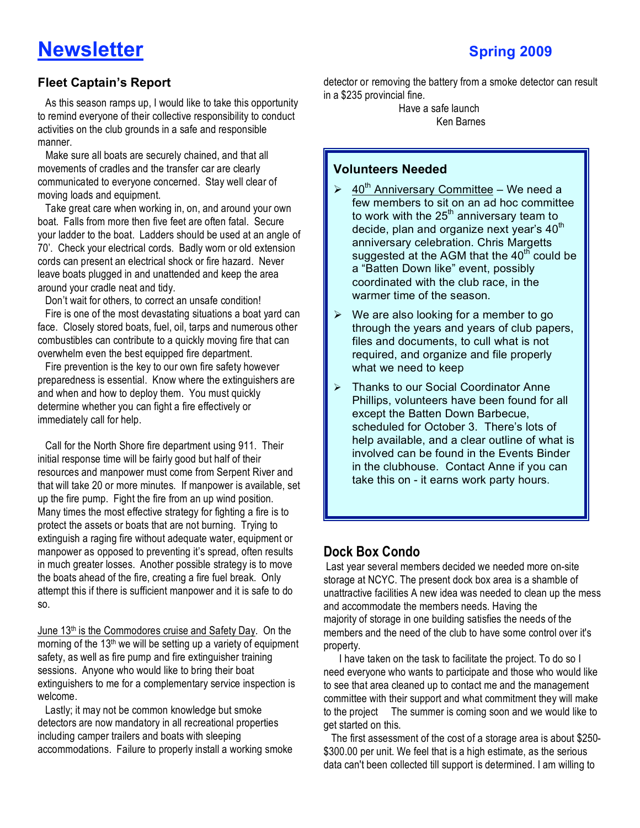# **Newsletter** Spring 2009

## **Fleet Captain's Report**

 As this season ramps up, I would like to take this opportunity to remind everyone of their collective responsibility to conduct activities on the club grounds in a safe and responsible manner.

 Make sure all boats are securely chained, and that all movements of cradles and the transfer car are clearly communicated to everyone concerned. Stay well clear of moving loads and equipment.

 Take great care when working in, on, and around your own boat. Falls from more then five feet are often fatal. Secure your ladder to the boat. Ladders should be used at an angle of 70'. Check your electrical cords. Badly worn or old extension cords can present an electrical shock or fire hazard. Never leave boats plugged in and unattended and keep the area around your cradle neat and tidy.

Don't wait for others, to correct an unsafe condition!

 Fire is one of the most devastating situations a boat yard can face. Closely stored boats, fuel, oil, tarps and numerous other combustibles can contribute to a quickly moving fire that can overwhelm even the best equipped fire department.

 Fire prevention is the key to our own fire safety however preparedness is essential. Know where the extinguishers are and when and how to deploy them. You must quickly determine whether you can fight a fire effectively or immediately call for help.

 Call for the North Shore fire department using 911. Their initial response time will be fairly good but half of their resources and manpower must come from Serpent River and that will take 20 or more minutes. If manpower is available, set up the fire pump. Fight the fire from an up wind position. Many times the most effective strategy for fighting a fire is to protect the assets or boats that are not burning. Trying to extinguish a raging fire without adequate water, equipment or manpower as opposed to preventing it's spread, often results in much greater losses. Another possible strategy is to move the boats ahead of the fire, creating a fire fuel break. Only attempt this if there is sufficient manpower and it is safe to do so.

June 13th is the Commodores cruise and Safety Day. On the morning of the 13th we will be setting up a variety of equipment safety, as well as fire pump and fire extinguisher training sessions. Anyone who would like to bring their boat extinguishers to me for a complementary service inspection is welcome.

 Lastly; it may not be common knowledge but smoke detectors are now mandatory in all recreational properties including camper trailers and boats with sleeping accommodations. Failure to properly install a working smoke detector or removing the battery from a smoke detector can result in a \$235 provincial fine.

> Have a safe launch Ken Barnes

### **Volunteers Needed**

- $\geq 40^{th}$  Anniversary Committee We need a few members to sit on an ad hoc committee to work with the  $25<sup>th</sup>$  anniversary team to decide, plan and organize next year's 40<sup>th</sup> anniversary celebration. Chris Margetts suggested at the AGM that the  $40<sup>th</sup>$  could be a "Batten Down like" event, possibly coordinated with the club race, in the warmer time of the season.
- $\triangleright$  We are also looking for a member to go through the years and years of club papers, files and documents, to cull what is not required, and organize and file properly what we need to keep
- > Thanks to our Social Coordinator Anne Phillips, volunteers have been found for all except the Batten Down Barbecue, scheduled for October 3. There's lots of help available, and a clear outline of what is involved can be found in the Events Binder in the clubhouse. Contact Anne if you can take this on - it earns work party hours.

# **Dock Box Condo**

 Last year several members decided we needed more on-site storage at NCYC. The present dock box area is a shamble of unattractive facilities A new idea was needed to clean up the mess and accommodate the members needs. Having the majority of storage in one building satisfies the needs of the members and the need of the club to have some control over it's property.

 I have taken on the task to facilitate the project. To do so I need everyone who wants to participate and those who would like to see that area cleaned up to contact me and the management committee with their support and what commitment they will make to the project The summer is coming soon and we would like to get started on this.

 The first assessment of the cost of a storage area is about \$250- \$300.00 per unit. We feel that is a high estimate, as the serious data can't been collected till support is determined. I am willing to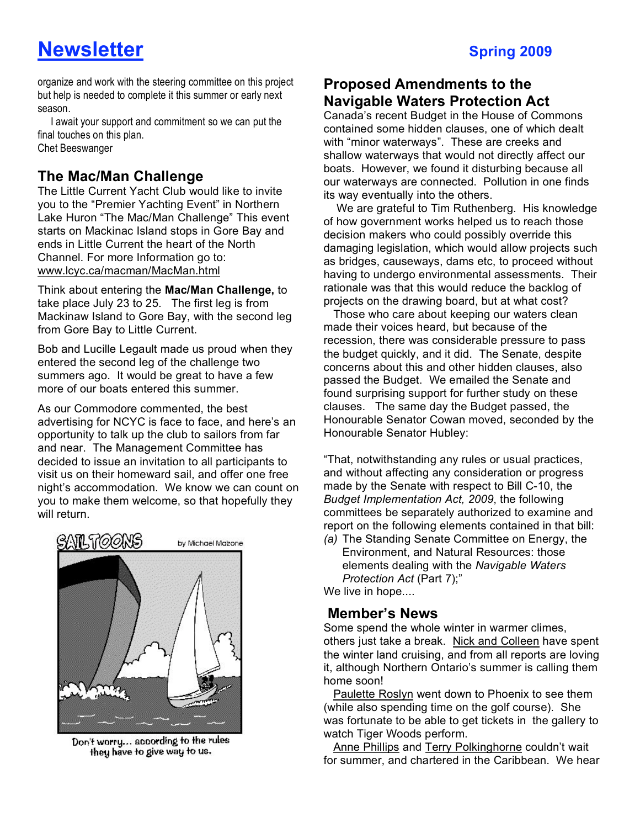organize and work with the steering committee on this project but help is needed to complete it this summer or early next season.

 I await your support and commitment so we can put the final touches on this plan. Chet Beeswanger

# **The Mac/Man Challenge**

The Little Current Yacht Club would like to invite you to the "Premier Yachting Event" in Northern Lake Huron "The Mac/Man Challenge" This event starts on Mackinac Island stops in Gore Bay and ends in Little Current the heart of the North Channel. For more Information go to: www.lcyc.ca/macman/MacMan.html

Think about entering the **Mac/Man Challenge,** to take place July 23 to 25.The first leg is from Mackinaw Island to Gore Bay, with the second leg from Gore Bay to Little Current.

Bob and Lucille Legault made us proud when they entered the second leg of the challenge two summers ago. It would be great to have a few more of our boats entered this summer.

As our Commodore commented, the best advertising for NCYC is face to face, and here's an opportunity to talk up the club to sailors from far and near. The Management Committee has decided to issue an invitation to all participants to visit us on their homeward sail, and offer one free night's accommodation. We know we can count on you to make them welcome, so that hopefully they will return.



Don't worry... according to the rules they have to give way to us.

# **Proposed Amendments to the**

**Navigable Waters Protection Act** Canada's recent Budget in the House of Commons contained some hidden clauses, one of which dealt with "minor waterways". These are creeks and shallow waterways that would not directly affect our boats. However, we found it disturbing because all our waterways are connected. Pollution in one finds its way eventually into the others.

 We are grateful to Tim Ruthenberg. His knowledge of how government works helped us to reach those decision makers who could possibly override this damaging legislation, which would allow projects such as bridges, causeways, dams etc, to proceed without having to undergo environmental assessments. Their rationale was that this would reduce the backlog of projects on the drawing board, but at what cost?

 Those who care about keeping our waters clean made their voices heard, but because of the recession, there was considerable pressure to pass the budget quickly, and it did. The Senate, despite concerns about this and other hidden clauses, also passed the Budget. We emailed the Senate and found surprising support for further study on these clauses. The same day the Budget passed, the Honourable Senator Cowan moved, seconded by the Honourable Senator Hubley:

"That, notwithstanding any rules or usual practices, and without affecting any consideration or progress made by the Senate with respect to Bill C-10, the *Budget Implementation Act, 2009*, the following committees be separately authorized to examine and report on the following elements contained in that bill:

*(a)* The Standing Senate Committee on Energy, the Environment, and Natural Resources: those elements dealing with the *Navigable Waters Protection Act* (Part 7);"

We live in hope....

## **Member's News**

Some spend the whole winter in warmer climes, others just take a break. Nick and Colleen have spent the winter land cruising, and from all reports are loving it, although Northern Ontario's summer is calling them home soon!

 Paulette Roslyn went down to Phoenix to see them (while also spending time on the golf course). She was fortunate to be able to get tickets in the gallery to watch Tiger Woods perform.

 Anne Phillips and Terry Polkinghorne couldn't wait for summer, and chartered in the Caribbean. We hear